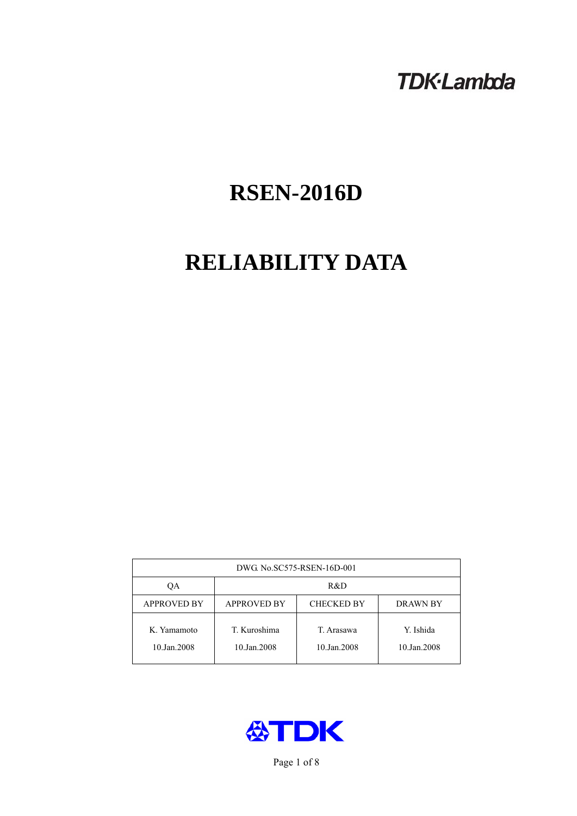## **TDK-Lambda**

# **RSEN-2016D**

# **RELIABILITY DATA**

| DWG. No.SC575-RSEN-16D-001 |                                                            |                           |                          |  |  |
|----------------------------|------------------------------------------------------------|---------------------------|--------------------------|--|--|
| ОA                         | R&D                                                        |                           |                          |  |  |
| <b>APPROVED BY</b>         | <b>APPROVED BY</b><br><b>CHECKED BY</b><br><b>DRAWN BY</b> |                           |                          |  |  |
| K. Yamamoto<br>10.Jan.2008 | T. Kuroshima<br>10.Jan.2008                                | T. Arasawa<br>10.Jan.2008 | Y. Ishida<br>10.Jan.2008 |  |  |



Page 1 of 8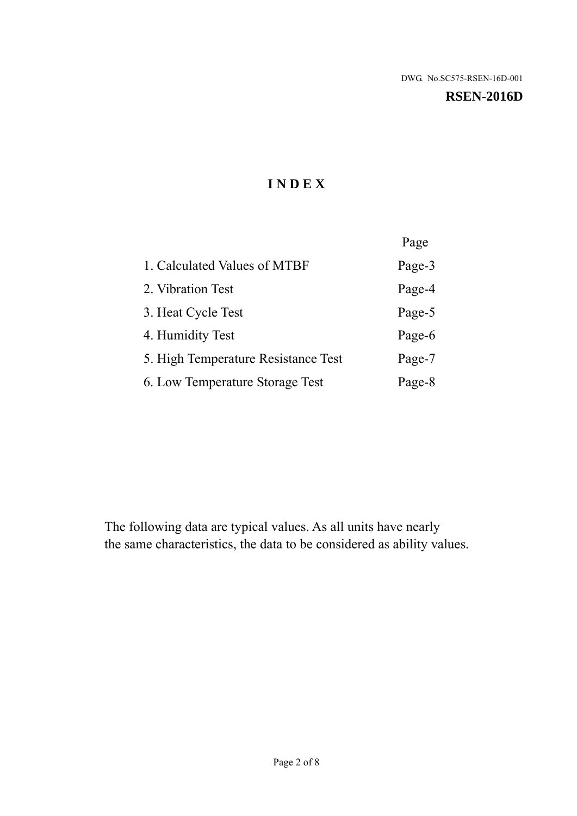#### **RSEN-2016D**

## **I N D E X**

|                                     | Page   |
|-------------------------------------|--------|
| 1. Calculated Values of MTBF        | Page-3 |
| 2. Vibration Test                   | Page-4 |
| 3. Heat Cycle Test                  | Page-5 |
| 4. Humidity Test                    | Page-6 |
| 5. High Temperature Resistance Test | Page-7 |
| 6. Low Temperature Storage Test     | Page-8 |

The following data are typical values. As all units have nearly the same characteristics, the data to be considered as ability values.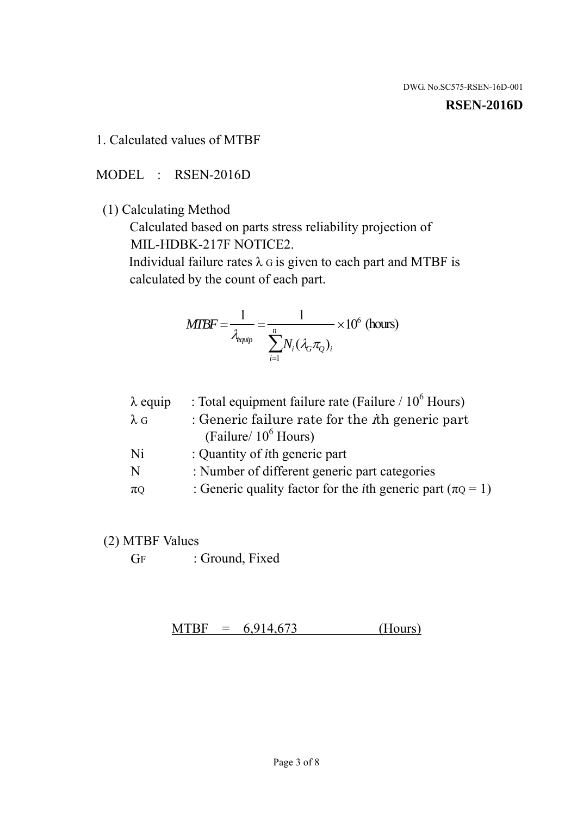#### **RSEN-2016D**

1. Calculated values of MTBF

MODEL : RSEN-2016D

(1) Calculating Method

 Calculated based on parts stress reliability projection of MIL-HDBK-217F NOTICE2.

Individual failure rates  $\lambda$  G is given to each part and MTBF is calculated by the count of each part.

$$
MTBF = \frac{1}{\lambda_{\text{equip}}} = \frac{1}{\sum_{i=1}^{n} N_i (\lambda_G \pi_Q)_i} \times 10^6 \text{ (hours)}
$$

| : Total equipment failure rate (Failure / $10^6$ Hours)                   |
|---------------------------------------------------------------------------|
| : Generic failure rate for the $\hbar$ generic part                       |
| (Failure/ $10^6$ Hours)                                                   |
| : Quantity of <i>i</i> th generic part                                    |
| : Number of different generic part categories                             |
| : Generic quality factor for the <i>i</i> th generic part ( $\pi Q = 1$ ) |
|                                                                           |

- (2) MTBF Values
	- GF : Ground, Fixed

 $MTBF = 6,914,673$  (Hours)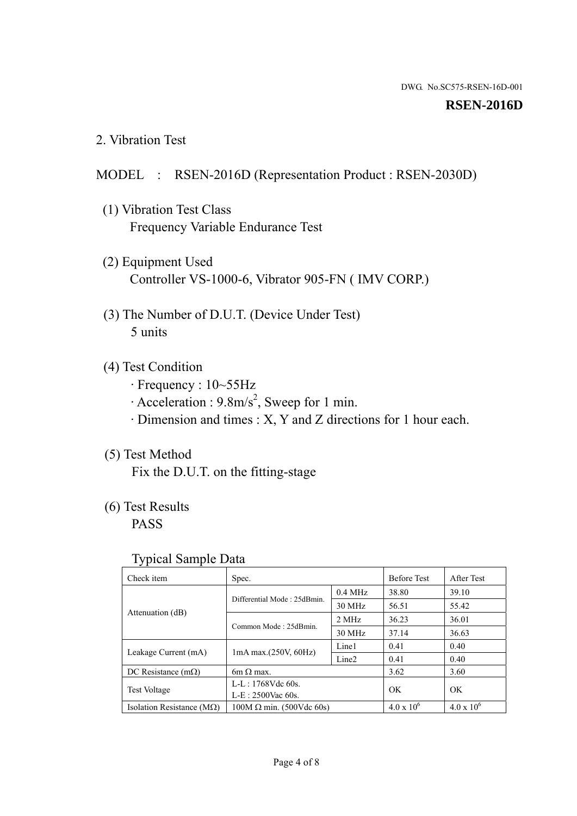#### **RSEN-2016D**

2. Vibration Test

### MODEL : RSEN-2016D (Representation Product : RSEN-2030D)

- (1) Vibration Test Class Frequency Variable Endurance Test
- (2) Equipment Used Controller VS-1000-6, Vibrator 905-FN ( IMV CORP.)
- (3) The Number of D.U.T. (Device Under Test) 5 units
- (4) Test Condition
	- · Frequency : 10~55Hz
	- $\cdot$  Acceleration : 9.8m/s<sup>2</sup>, Sweep for 1 min.
	- · Dimension and times : X, Y and Z directions for 1 hour each.

## (5) Test Method

Fix the D.U.T. on the fitting-stage

## (6) Test Results

PASS

#### Typical Sample Data

| . .                                |                                 |                   |                     |                     |
|------------------------------------|---------------------------------|-------------------|---------------------|---------------------|
| Check item                         | Spec.                           |                   | <b>Before Test</b>  | After Test          |
| Attenuation (dB)                   | Differential Mode: 25dBmin.     | $0.4$ MHz         | 38.80               | 39.10               |
|                                    |                                 | 30 MHz            | 56.51               | 55.42               |
|                                    | Common Mode: 25dBmin.           | 2 MHz             | 36.23               | 36.01               |
|                                    |                                 | 30 MHz            | 37.14               | 36.63               |
| Leakage Current (mA)               | $1mA$ max. $(250V, 60Hz)$       | Line1             | 0.41                | 0.40                |
|                                    |                                 | Line <sub>2</sub> | 0.41                | 0.40                |
| DC Resistance $(m\Omega)$          | 6m $\Omega$ max.                |                   | 3.62                | 3.60                |
| <b>Test Voltage</b>                | $L-L: 1768Vdc$ 60s.             |                   | OK                  |                     |
|                                    | $L-E: 2500$ Vac 60s.            |                   |                     | OK.                 |
| Isolation Resistance ( $M\Omega$ ) | $100M \Omega$ min. (500Vdc 60s) |                   | $4.0 \times 10^{6}$ | $4.0 \times 10^{6}$ |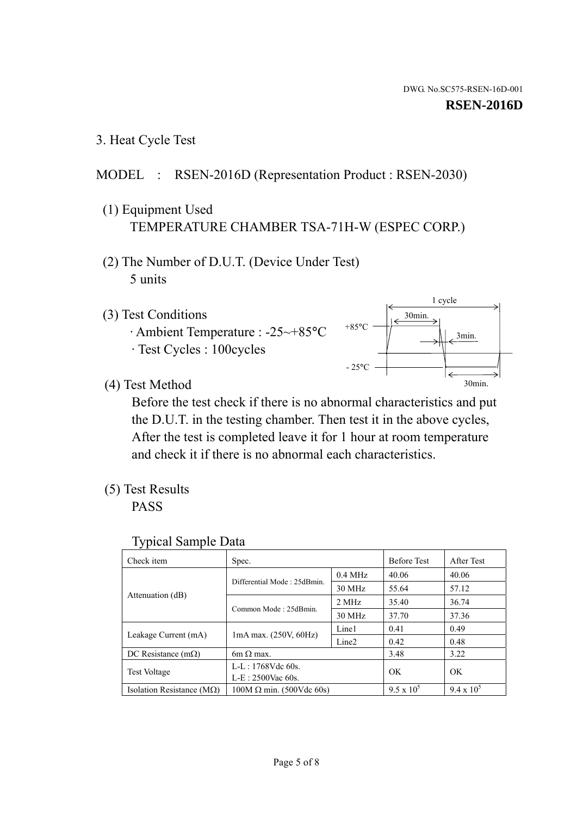1 cycle

3min.

30min.

3. Heat Cycle Test

## MODEL : RSEN-2016D (Representation Product : RSEN-2030)

- (1) Equipment Used TEMPERATURE CHAMBER TSA-71H-W (ESPEC CORP.)
- (2) The Number of D.U.T. (Device Under Test) 5 units
- (3) Test Conditions
	- · Ambient Temperature : -25~+85°C · Test Cycles : 100cycles
- (4) Test Method



+85°C

 the D.U.T. in the testing chamber. Then test it in the above cycles, After the test is completed leave it for 1 hour at room temperature and check it if there is no abnormal each characteristics.

(5) Test Results

PASS

| <b>Typical Sample Data</b> |  |
|----------------------------|--|
|                            |  |

| Check item                    | Spec.                           |                   | <b>Before Test</b> | After Test        |
|-------------------------------|---------------------------------|-------------------|--------------------|-------------------|
|                               |                                 | $0.4$ MHz         | 40.06              | 40.06             |
|                               | Differential Mode: 25dBmin.     | 30 MHz            | 55.64              | 57.12             |
| Attenuation (dB)              | Common Mode: 25dBmin.           | 2 MHz             | 35.40              | 36.74             |
|                               |                                 | 30 MHz            | 37.70              | 37.36             |
| Leakage Current (mA)          | $1mA$ max. $(250V, 60Hz)$       | Line1             | 0.41               | 0.49              |
|                               |                                 | Line <sub>2</sub> | 0.42               | 0.48              |
| DC Resistance $(m\Omega)$     | $6m \Omega$ max.                |                   | 3.48               | 3.22              |
| <b>Test Voltage</b>           | L-L: $1768V$ de $60s$ .         |                   | OK                 | OK                |
|                               | $L-E: 2500$ Vac 60s.            |                   |                    |                   |
| Isolation Resistance ( $MQ$ ) | $100M \Omega$ min. (500Vdc 60s) |                   | $9.5 \times 10^5$  | $9.4 \times 10^5$ |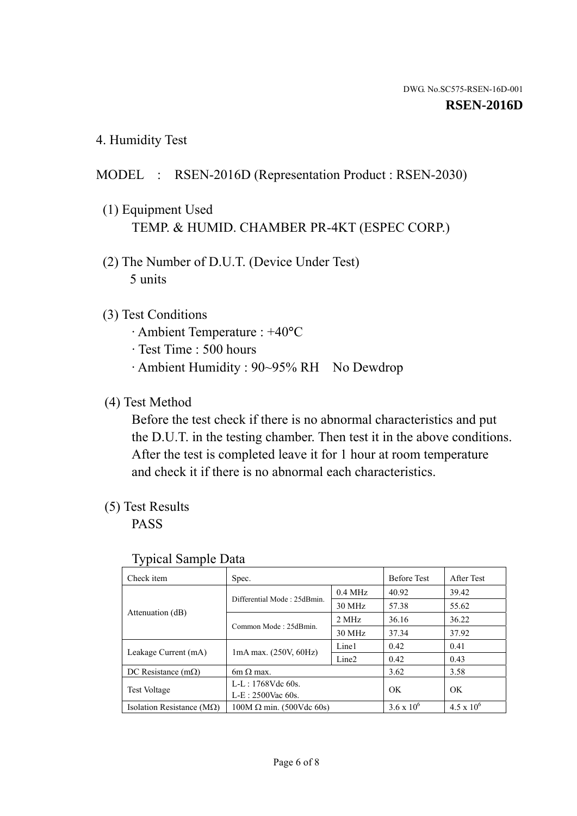4. Humidity Test

## MODEL : RSEN-2016D (Representation Product : RSEN-2030)

- (1) Equipment Used TEMP. & HUMID. CHAMBER PR-4KT (ESPEC CORP.)
- (2) The Number of D.U.T. (Device Under Test) 5 units

## (3) Test Conditions

- · Ambient Temperature : +40°C
- · Test Time : 500 hours
- · Ambient Humidity : 90~95% RH No Dewdrop

## (4) Test Method

 Before the test check if there is no abnormal characteristics and put the D.U.T. in the testing chamber. Then test it in the above conditions. After the test is completed leave it for 1 hour at room temperature and check it if there is no abnormal each characteristics.

## (5) Test Results

PASS

| . .                                |                                 |                   |                     |                     |
|------------------------------------|---------------------------------|-------------------|---------------------|---------------------|
| Check item                         | Spec.                           |                   | <b>Before Test</b>  | After Test          |
|                                    | Differential Mode: 25dBmin.     | $0.4$ MHz         | 40.92               | 39.42               |
|                                    |                                 | 30 MHz            | 57.38               | 55.62               |
| Attenuation (dB)                   | Common Mode: 25dBmin.           | 2 MHz             | 36.16               | 36.22               |
|                                    |                                 | 30 MHz            | 37.34               | 37.92               |
| Leakage Current (mA)               | $1mA$ max. $(250V, 60Hz)$       | Line1             | 0.42                | 0.41                |
|                                    |                                 | Line <sub>2</sub> | 0.42                | 0.43                |
| DC Resistance $(m\Omega)$          | $6m \Omega$ max.                |                   | 3.62                | 3.58                |
| <b>Test Voltage</b>                | $L-L: 1768Vdc$ 60s.             |                   | OK                  | OK                  |
|                                    | $L-E$ : 2500Vac 60s.            |                   |                     |                     |
| Isolation Resistance ( $M\Omega$ ) | $100M \Omega$ min. (500Vdc 60s) |                   | $3.6 \times 10^{6}$ | $4.5 \times 10^{6}$ |

#### Typical Sample Data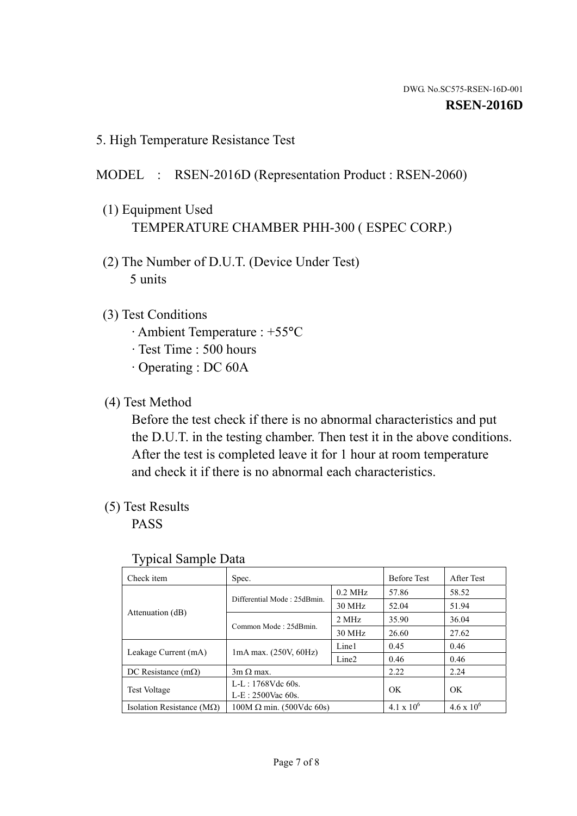5. High Temperature Resistance Test

## MODEL : RSEN-2016D (Representation Product : RSEN-2060)

- (1) Equipment Used TEMPERATURE CHAMBER PHH-300 ( ESPEC CORP.)
- (2) The Number of D.U.T. (Device Under Test) 5 units
- (3) Test Conditions
	- · Ambient Temperature : +55°C
	- · Test Time : 500 hours
	- · Operating : DC 60A
- (4) Test Method

 Before the test check if there is no abnormal characteristics and put the D.U.T. in the testing chamber. Then test it in the above conditions. After the test is completed leave it for 1 hour at room temperature and check it if there is no abnormal each characteristics.

(5) Test Results

PASS

| J 1                                |                                 |                   |                     |                     |
|------------------------------------|---------------------------------|-------------------|---------------------|---------------------|
| Check item                         | Spec.                           |                   | <b>Before Test</b>  | After Test          |
|                                    | Differential Mode: 25dBmin.     | $0.2$ MHz         | 57.86               | 58.52               |
|                                    |                                 | 30 MHz            | 52.04               | 51.94               |
| Attenuation (dB)                   | Common Mode: 25dBmin.           | 2 MHz             | 35.90               | 36.04               |
|                                    |                                 | 30 MHz            | 26.60               | 27.62               |
| Leakage Current (mA)               | $1mA$ max. $(250V, 60Hz)$       | Line1             | 0.45                | 0.46                |
|                                    |                                 | Line <sub>2</sub> | 0.46                | 0.46                |
| DC Resistance $(m\Omega)$          | $3m \Omega$ max.                |                   | 2.22                | 2.24                |
| <b>Test Voltage</b>                | $L-L: 1768Vdc$ 60s.             |                   | OK                  | OK                  |
|                                    | $L-E: 2500$ Vac 60s.            |                   |                     |                     |
| Isolation Resistance ( $M\Omega$ ) | $100M \Omega$ min. (500Vdc 60s) |                   | $4.1 \times 10^{6}$ | $4.6 \times 10^{6}$ |

#### Typical Sample Data